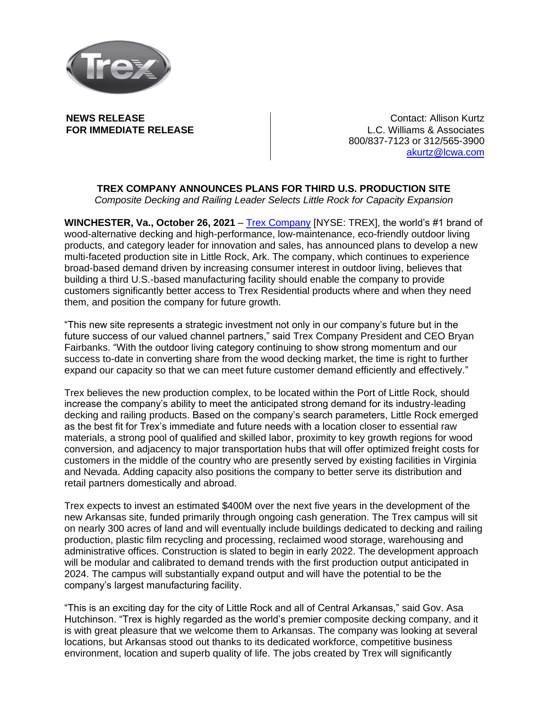

**NEWS RELEASE FOR IMMEDIATE RELEASE**

Contact: Allison Kurtz L.C. Williams & Associates 800/837-7123 or 312/565-3900 [akurtz@lcwa.com](mailto:akurtz@lcwa.com) 

## **TREX COMPANY ANNOUNCES PLANS FOR THIRD U.S. PRODUCTION SITE**

*Composite Decking and Railing Leader Selects Little Rock for Capacity Expansion*

**WINCHESTER, Va., October 26, 2021** – [Trex Company](http://www.trex.com/) [NYSE: TREX], the world's #1 brand of wood-alternative decking and high-performance, low-maintenance, eco-friendly outdoor living products, and category leader for innovation and sales, has announced plans to develop a new multi-faceted production site in Little Rock, Ark. The company, which continues to experience broad-based demand driven by increasing consumer interest in outdoor living, believes that building a third U.S.-based manufacturing facility should enable the company to provide customers significantly better access to Trex Residential products where and when they need them, and position the company for future growth.

"This new site represents a strategic investment not only in our company's future but in the future success of our valued channel partners," said Trex Company President and CEO Bryan Fairbanks. "With the outdoor living category continuing to show strong momentum and our success to-date in converting share from the wood decking market, the time is right to further expand our capacity so that we can meet future customer demand efficiently and effectively."

Trex believes the new production complex, to be located within the Port of Little Rock, should increase the company's ability to meet the anticipated strong demand for its industry-leading decking and railing products. Based on the company's search parameters, Little Rock emerged as the best fit for Trex's immediate and future needs with a location closer to essential raw materials, a strong pool of qualified and skilled labor, proximity to key growth regions for wood conversion, and adjacency to major transportation hubs that will offer optimized freight costs for customers in the middle of the country who are presently served by existing facilities in Virginia and Nevada. Adding capacity also positions the company to better serve its distribution and retail partners domestically and abroad.

Trex expects to invest an estimated \$400M over the next five years in the development of the new Arkansas site, funded primarily through ongoing cash generation. The Trex campus will sit on nearly 300 acres of land and will eventually include buildings dedicated to decking and railing production, plastic film recycling and processing, reclaimed wood storage, warehousing and administrative offices. Construction is slated to begin in early 2022. The development approach will be modular and calibrated to demand trends with the first production output anticipated in 2024. The campus will substantially expand output and will have the potential to be the company's largest manufacturing facility.

"This is an exciting day for the city of Little Rock and all of Central Arkansas," said Gov. Asa Hutchinson. "Trex is highly regarded as the world's premier composite decking company, and it is with great pleasure that we welcome them to Arkansas. The company was looking at several locations, but Arkansas stood out thanks to its dedicated workforce, competitive business environment, location and superb quality of life. The jobs created by Trex will significantly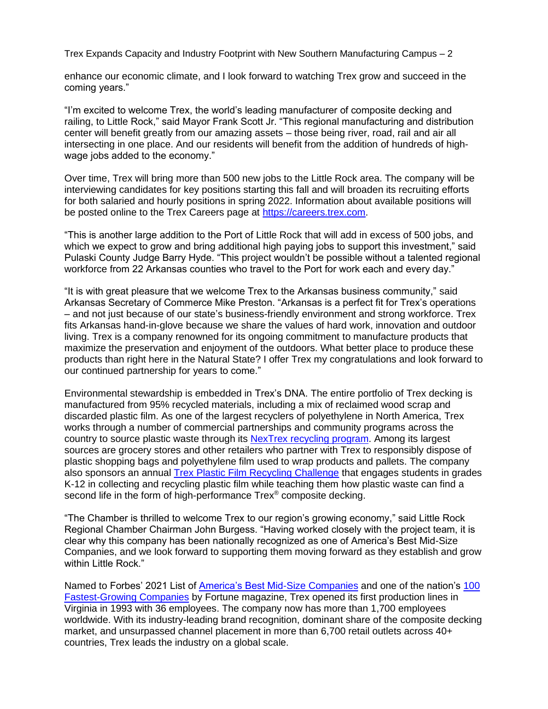Trex Expands Capacity and Industry Footprint with New Southern Manufacturing Campus – 2

enhance our economic climate, and I look forward to watching Trex grow and succeed in the coming years."

"I'm excited to welcome Trex, the world's leading manufacturer of composite decking and railing, to Little Rock," said Mayor Frank Scott Jr. "This regional manufacturing and distribution center will benefit greatly from our amazing assets – those being river, road, rail and air all intersecting in one place. And our residents will benefit from the addition of hundreds of highwage jobs added to the economy."

Over time, Trex will bring more than 500 new jobs to the Little Rock area. The company will be interviewing candidates for key positions starting this fall and will broaden its recruiting efforts for both salaried and hourly positions in spring 2022. Information about available positions will be posted online to the Trex Careers page at [https://careers.trex.com.](https://careers.trex.com/)

"This is another large addition to the Port of Little Rock that will add in excess of 500 jobs, and which we expect to grow and bring additional high paying jobs to support this investment," said Pulaski County Judge Barry Hyde. "This project wouldn't be possible without a talented regional workforce from 22 Arkansas counties who travel to the Port for work each and every day."

"It is with great pleasure that we welcome Trex to the Arkansas business community," said Arkansas Secretary of Commerce Mike Preston. "Arkansas is a perfect fit for Trex's operations – and not just because of our state's business-friendly environment and strong workforce. Trex fits Arkansas hand-in-glove because we share the values of hard work, innovation and outdoor living. Trex is a company renowned for its ongoing commitment to manufacture products that maximize the preservation and enjoyment of the outdoors. What better place to produce these products than right here in the Natural State? I offer Trex my congratulations and look forward to our continued partnership for years to come."

Environmental stewardship is embedded in Trex's DNA. The entire portfolio of Trex decking is manufactured from 95% recycled materials, including a mix of reclaimed wood scrap and discarded plastic film. As one of the largest recyclers of polyethylene in North America, Trex works through a number of commercial partnerships and community programs across the country to source plastic waste through its [NexTrex recycling program.](https://recycle.trex.com/) Among its largest sources are grocery stores and other retailers who partner with Trex to responsibly dispose of plastic shopping bags and polyethylene film used to wrap products and pallets. The company also sponsors an annual [Trex Plastic Film Recycling Challenge](https://recycle.trex.com/?utm_source=Release&utm_medium=PR&utm_campaign=Schools) that engages students in grades K-12 in collecting and recycling plastic film while teaching them how plastic waste can find a second life in the form of high-performance Trex<sup>®</sup> composite decking.

"The Chamber is thrilled to welcome Trex to our region's growing economy," said Little Rock Regional Chamber Chairman John Burgess. "Having worked closely with the project team, it is clear why this company has been nationally recognized as one of America's Best Mid-Size Companies, and we look forward to supporting them moving forward as they establish and grow within Little Rock."

Named to Forbes' 2021 List of [America's Best Mid-Size Companies](https://www.forbes.com/lists/best-mid-cap-companies/#7a61b13d59e1) and one of the nation's [100](https://fortune.com/100-fastest-growing-companies/)  [Fastest-Growing Companies](https://fortune.com/100-fastest-growing-companies/) by Fortune magazine, Trex opened its first production lines in Virginia in 1993 with 36 employees. The company now has more than 1,700 employees worldwide. With its industry-leading brand recognition, dominant share of the composite decking market, and unsurpassed channel placement in more than 6,700 retail outlets across 40+ countries, Trex leads the industry on a global scale.